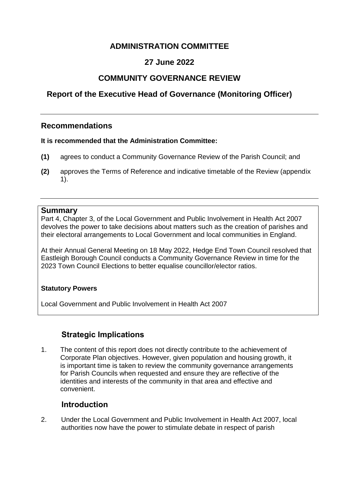# **ADMINISTRATION COMMITTEE**

# **27 June 2022**

## **COMMUNITY GOVERNANCE REVIEW**

# <span id="page-0-0"></span>**Report of the [Executive Head of Governance \(Monitoring Officer\)](#page-0-0)**

## **Recommendations**

#### <span id="page-0-1"></span>**[It is recommended that t](#page-0-1)he Administration Committee:**

- **(1)** agrees to conduct a Community Governance Review of the Parish Council; and
- **(2)** approves the Terms of Reference and indicative timetable of the Review (appendix 1).

#### <span id="page-0-2"></span>**[Summary](#page-0-2)**

Part 4, Chapter 3, of the Local Government and Public Involvement in Health Act 2007 devolves the power to take decisions about matters such as the creation of parishes and their electoral arrangements to Local Government and local communities in England.

At their Annual General Meeting on 18 May 2022, Hedge End Town Council resolved that Eastleigh Borough Council conducts a Community Governance Review in time for the 2023 Town Council Elections to better equalise councillor/elector ratios.

### <span id="page-0-3"></span>**[Statutory Powers](#page-0-3)**

Local Government and Public Involvement in Health Act 2007

## **Strategic Implications**

<span id="page-0-4"></span>1. The content of this report does not directly contribute to the achievement of Corporate Plan objectives. However, given population and housing growth, it is important time is taken to review the community governance arrangements for Parish Councils when requested and ensure they are reflective of the identities and interests of the community in that area and effective and convenient.

### **[Introduction](#page-0-4)**

2. Under the Local Government and Public Involvement in Health Act 2007, local authorities now have the power to stimulate debate in respect of parish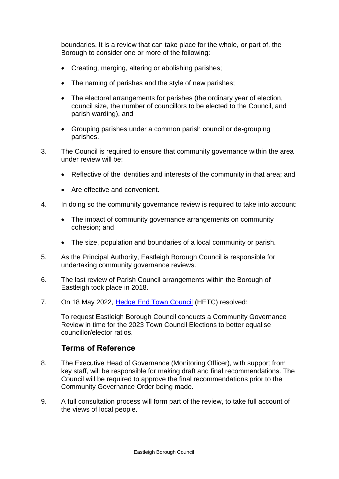boundaries. It is a review that can take place for the whole, or part of, the Borough to consider one or more of the following:

- Creating, merging, altering or abolishing parishes;
- The naming of parishes and the style of new parishes:
- The electoral arrangements for parishes (the ordinary year of election, council size, the number of councillors to be elected to the Council, and parish warding), and
- Grouping parishes under a common parish council or de-grouping parishes.
- 3. The Council is required to ensure that community governance within the area under review will be:
	- Reflective of the identities and interests of the community in that area; and
	- Are effective and convenient.
- 4. In doing so the community governance review is required to take into account:
	- The impact of community governance arrangements on community cohesion; and
	- The size, population and boundaries of a local community or parish.
- 5. As the Principal Authority, Eastleigh Borough Council is responsible for undertaking community governance reviews.
- 6. The last review of Parish Council arrangements within the Borough of Eastleigh took place in 2018.
- 7. On 18 May 2022, [Hedge End Town Council](https://www.hedgeend-tc.gov.uk/the-council/meetings/full-council/) (HETC) resolved:

To request Eastleigh Borough Council conducts a Community Governance Review in time for the 2023 Town Council Elections to better equalise councillor/elector ratios.

### **Terms of Reference**

- <span id="page-1-0"></span>8. The Executive Head of Governance (Monitoring Officer), with support from key staff, will be responsible for making draft and final recommendations. The Council will be required to approve the final recommendations prior to the Community Governance Order being made.
- 9. A full consultation process will form part of the review, to take full account of the views of local people.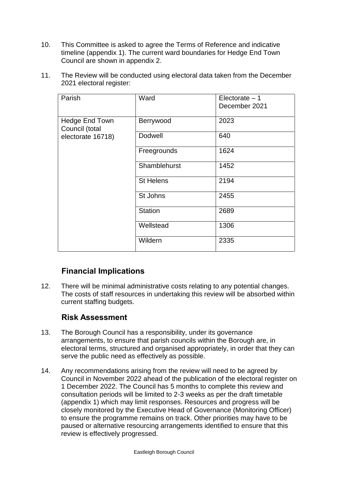- 10. This Committee is asked to agree the Terms of Reference and indicative timeline (appendix 1). The current ward boundaries for Hedge End Town Council are shown in appendix 2.
- 11. The Review will be conducted using electoral data taken from the December 2021 electoral register:

| Parish                                                | Ward             | Electorate $-1$<br>December 2021 |
|-------------------------------------------------------|------------------|----------------------------------|
| Hedge End Town<br>Council (total<br>electorate 16718) | Berrywood        | 2023                             |
|                                                       | Dodwell          | 640                              |
|                                                       | Freegrounds      | 1624                             |
|                                                       | Shamblehurst     | 1452                             |
|                                                       | <b>St Helens</b> | 2194                             |
|                                                       | St Johns         | 2455                             |
|                                                       | <b>Station</b>   | 2689                             |
|                                                       | Wellstead        | 1306                             |
|                                                       | Wildern          | 2335                             |

## **[Financial Implications](#page-1-0)**

12. There will be minimal administrative costs relating to any potential changes. The costs of staff resources in undertaking this review will be absorbed within current staffing budgets.

### **[Risk Assessment](#page-2-0)**

- <span id="page-2-0"></span>13. The Borough Council has a responsibility, under its governance arrangements, to ensure that parish councils within the Borough are, in electoral terms, structured and organised appropriately, in order that they can serve the public need as effectively as possible.
- 14. Any recommendations arising from the review will need to be agreed by Council in November 2022 ahead of the publication of the electoral register on 1 December 2022. The Council has 5 months to complete this review and consultation periods will be limited to 2-3 weeks as per the draft timetable (appendix 1) which may limit responses. Resources and progress will be closely monitored by the Executive Head of Governance (Monitoring Officer) to ensure the programme remains on track. Other priorities may have to be paused or alternative resourcing arrangements identified to ensure that this review is effectively progressed.